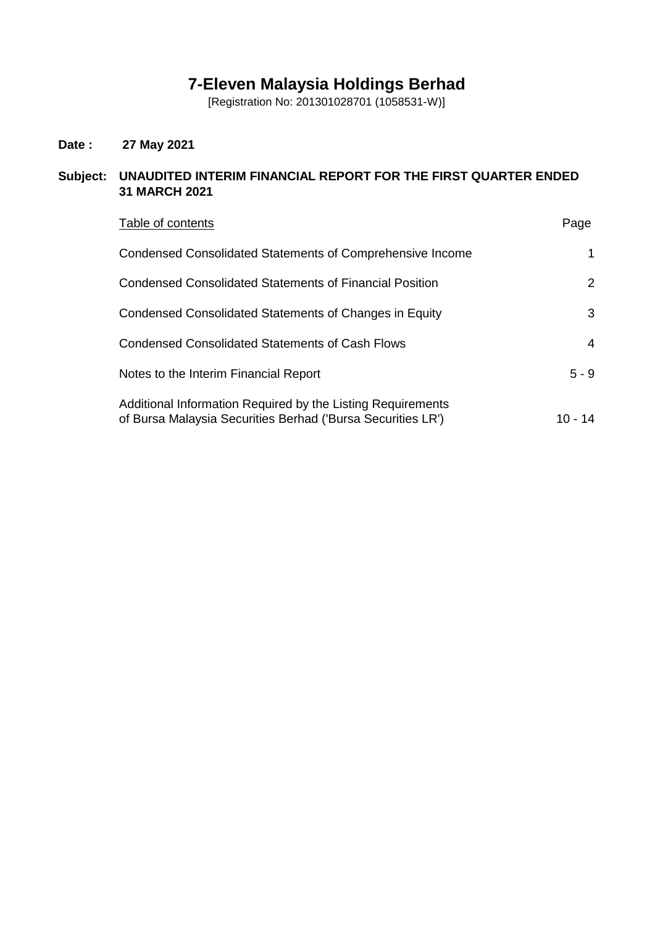# **7-Eleven Malaysia Holdings Berhad**

[Registration No: 201301028701 (1058531-W)]

# **Date : 27 May 2021**

# **Subject: UNAUDITED INTERIM FINANCIAL REPORT FOR THE FIRST QUARTER ENDED 31 MARCH 2021**

| Table of contents                                                                                                          | Page                  |
|----------------------------------------------------------------------------------------------------------------------------|-----------------------|
| Condensed Consolidated Statements of Comprehensive Income                                                                  | 1                     |
| <b>Condensed Consolidated Statements of Financial Position</b>                                                             | $\mathbf{2}^{\prime}$ |
| Condensed Consolidated Statements of Changes in Equity                                                                     | 3                     |
| Condensed Consolidated Statements of Cash Flows                                                                            | 4                     |
| Notes to the Interim Financial Report                                                                                      | $5 - 9$               |
| Additional Information Required by the Listing Requirements<br>of Bursa Malaysia Securities Berhad ('Bursa Securities LR') | 10 - 14               |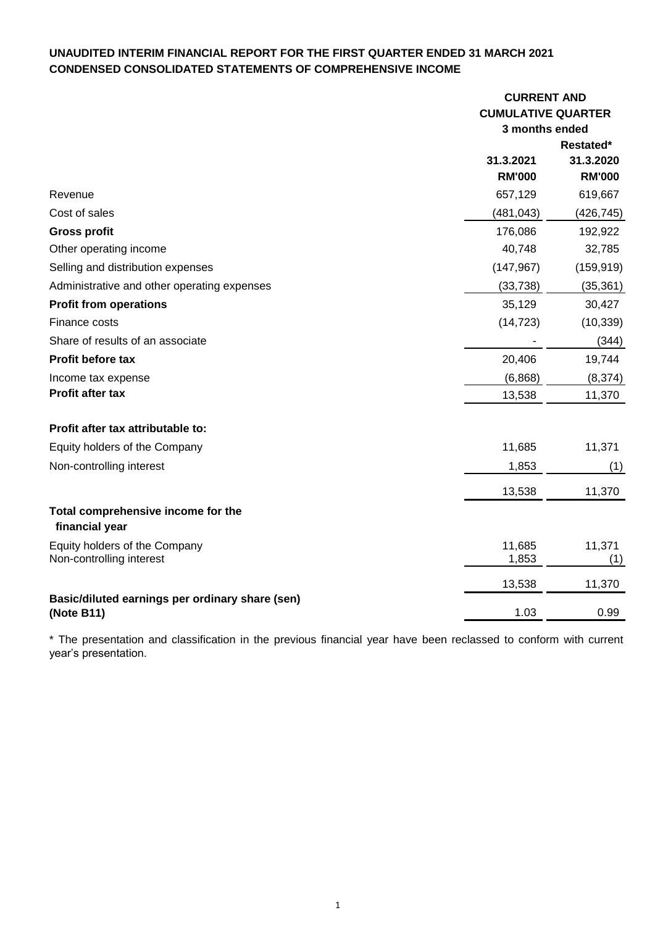# **UNAUDITED INTERIM FINANCIAL REPORT FOR THE FIRST QUARTER ENDED 31 MARCH 2021 CONDENSED CONSOLIDATED STATEMENTS OF COMPREHENSIVE INCOME**

|                                                               | <b>CURRENT AND</b>        |                        |  |
|---------------------------------------------------------------|---------------------------|------------------------|--|
|                                                               | <b>CUMULATIVE QUARTER</b> |                        |  |
|                                                               | 3 months ended            |                        |  |
|                                                               | 31.3.2021                 | Restated*<br>31.3.2020 |  |
|                                                               | <b>RM'000</b>             | <b>RM'000</b>          |  |
| Revenue                                                       | 657,129                   | 619,667                |  |
| Cost of sales                                                 | (481, 043)                | (426, 745)             |  |
| <b>Gross profit</b>                                           | 176,086                   | 192,922                |  |
| Other operating income                                        | 40,748                    | 32,785                 |  |
| Selling and distribution expenses                             | (147, 967)                | (159, 919)             |  |
| Administrative and other operating expenses                   | (33, 738)                 | (35, 361)              |  |
| <b>Profit from operations</b>                                 | 35,129                    | 30,427                 |  |
| Finance costs                                                 | (14, 723)                 | (10, 339)              |  |
| Share of results of an associate                              |                           | (344)                  |  |
| Profit before tax                                             | 20,406                    | 19,744                 |  |
| Income tax expense                                            | (6,868)                   | (8, 374)               |  |
| <b>Profit after tax</b>                                       | 13,538                    | 11,370                 |  |
| Profit after tax attributable to:                             |                           |                        |  |
| Equity holders of the Company                                 | 11,685                    | 11,371                 |  |
| Non-controlling interest                                      | 1,853                     | (1)                    |  |
|                                                               | 13,538                    | 11,370                 |  |
| Total comprehensive income for the<br>financial year          |                           |                        |  |
| Equity holders of the Company<br>Non-controlling interest     | 11,685<br>1,853           | 11,371<br>(1)          |  |
|                                                               | 13,538                    | 11,370                 |  |
| Basic/diluted earnings per ordinary share (sen)<br>(Note B11) | 1.03                      | 0.99                   |  |

\* The presentation and classification in the previous financial year have been reclassed to conform with current year's presentation.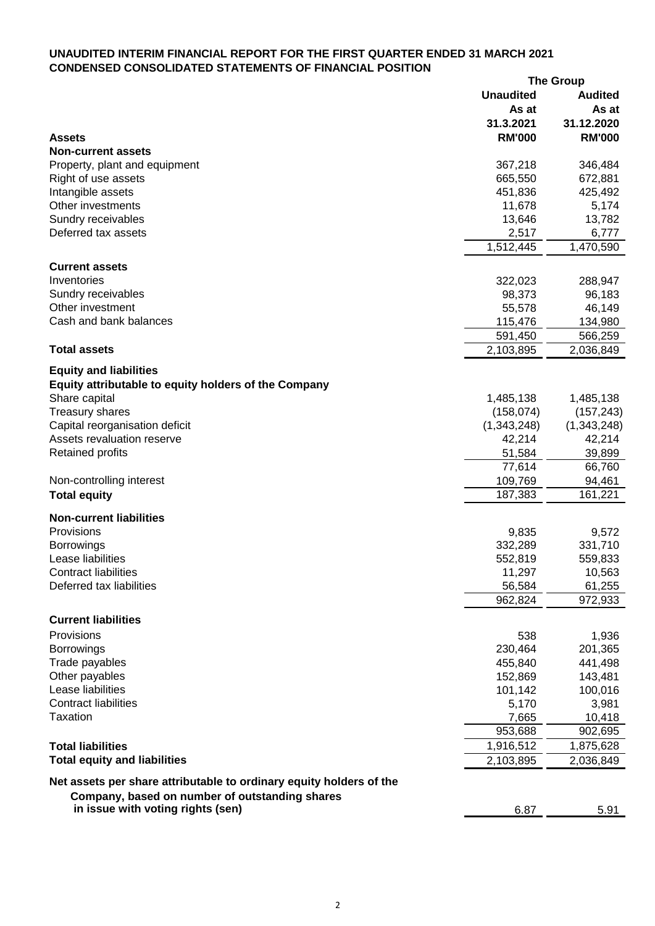## **UNAUDITED INTERIM FINANCIAL REPORT FOR THE FIRST QUARTER ENDED 31 MARCH 2021 CONDENSED CONSOLIDATED STATEMENTS OF FINANCIAL POSITION**

|                                                                     |                  | <b>The Group</b> |
|---------------------------------------------------------------------|------------------|------------------|
|                                                                     | <b>Unaudited</b> | <b>Audited</b>   |
|                                                                     | As at            | As at            |
|                                                                     | 31.3.2021        | 31.12.2020       |
| <b>Assets</b>                                                       | <b>RM'000</b>    | <b>RM'000</b>    |
| <b>Non-current assets</b>                                           |                  |                  |
| Property, plant and equipment                                       | 367,218          | 346,484          |
| Right of use assets                                                 | 665,550          | 672,881          |
| Intangible assets                                                   | 451,836          | 425,492          |
| Other investments                                                   | 11,678           | 5,174            |
| Sundry receivables                                                  | 13,646           | 13,782           |
| Deferred tax assets                                                 | 2,517            | 6,777            |
|                                                                     |                  |                  |
|                                                                     | 1,512,445        | 1,470,590        |
| <b>Current assets</b>                                               |                  |                  |
| Inventories                                                         | 322,023          | 288,947          |
| Sundry receivables                                                  | 98,373           | 96,183           |
| Other investment                                                    | 55,578           | 46,149           |
| Cash and bank balances                                              | 115,476          | 134,980          |
|                                                                     | 591,450          | 566,259          |
| <b>Total assets</b>                                                 | 2,103,895        | 2,036,849        |
|                                                                     |                  |                  |
| <b>Equity and liabilities</b>                                       |                  |                  |
| Equity attributable to equity holders of the Company                |                  |                  |
| Share capital                                                       | 1,485,138        | 1,485,138        |
| <b>Treasury shares</b>                                              | (158, 074)       | (157, 243)       |
| Capital reorganisation deficit                                      | (1,343,248)      | (1,343,248)      |
| Assets revaluation reserve                                          | 42,214           | 42,214           |
| <b>Retained profits</b>                                             | 51,584           | 39,899           |
|                                                                     | 77,614           | 66,760           |
| Non-controlling interest                                            | 109,769          | 94,461           |
|                                                                     | 187,383          | 161,221          |
| <b>Total equity</b>                                                 |                  |                  |
| <b>Non-current liabilities</b>                                      |                  |                  |
| Provisions                                                          | 9,835            | 9,572            |
| <b>Borrowings</b>                                                   | 332,289          | 331,710          |
| Lease liabilities                                                   | 552,819          | 559,833          |
| <b>Contract liabilities</b>                                         | 11,297           | 10,563           |
| Deferred tax liabilities                                            | 56,584           | 61,255           |
|                                                                     |                  |                  |
|                                                                     | 962,824          | 972,933          |
| <b>Current liabilities</b>                                          |                  |                  |
| Provisions                                                          | 538              | 1,936            |
| <b>Borrowings</b>                                                   | 230,464          | 201,365          |
| Trade payables                                                      | 455,840          | 441,498          |
| Other payables                                                      | 152,869          | 143,481          |
| Lease liabilities                                                   | 101,142          | 100,016          |
| <b>Contract liabilities</b>                                         | 5,170            | 3,981            |
| <b>Taxation</b>                                                     |                  |                  |
|                                                                     | 7,665            | 10,418           |
|                                                                     | 953,688          | 902,695          |
| <b>Total liabilities</b>                                            | 1,916,512        | 1,875,628        |
| <b>Total equity and liabilities</b>                                 | 2,103,895        | 2,036,849        |
| Net assets per share attributable to ordinary equity holders of the |                  |                  |
| Company, based on number of outstanding shares                      |                  |                  |
| in issue with voting rights (sen)                                   |                  |                  |
|                                                                     | 6.87             | 5.91             |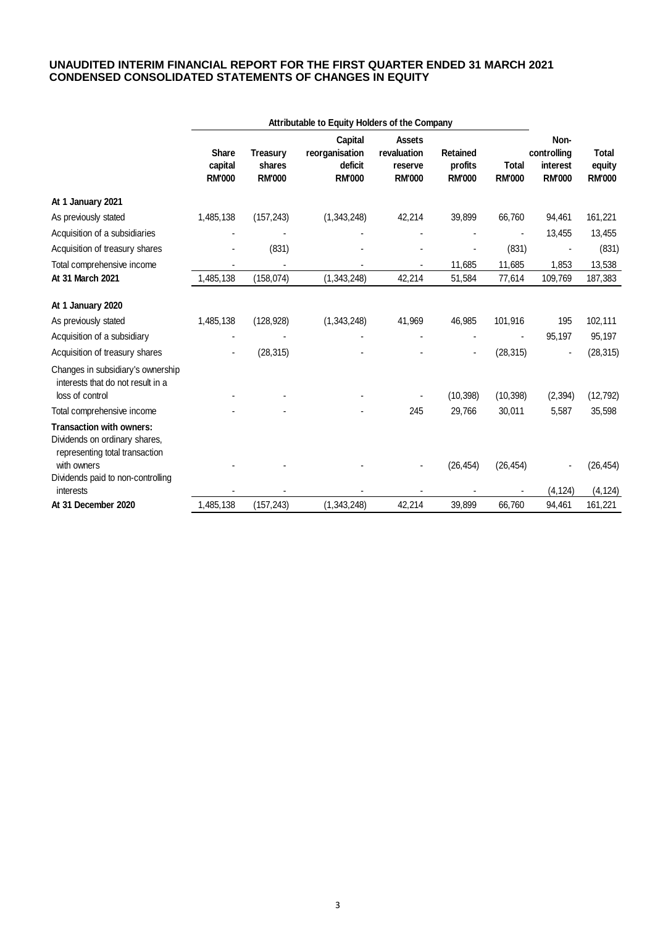### **UNAUDITED INTERIM FINANCIAL REPORT FOR THE FIRST QUARTER ENDED 31 MARCH 2021 CONDENSED CONSOLIDATED STATEMENTS OF CHANGES IN EQUITY**

|                                                                                                                   | Attributable to Equity Holders of the Company |                                            |                                                       |                                                          |                                             |                               |                                                  |                                         |
|-------------------------------------------------------------------------------------------------------------------|-----------------------------------------------|--------------------------------------------|-------------------------------------------------------|----------------------------------------------------------|---------------------------------------------|-------------------------------|--------------------------------------------------|-----------------------------------------|
|                                                                                                                   | <b>Share</b><br>capital<br><b>RM'000</b>      | <b>Treasury</b><br>shares<br><b>RM'000</b> | Capital<br>reorganisation<br>deficit<br><b>RM'000</b> | <b>Assets</b><br>revaluation<br>reserve<br><b>RM'000</b> | <b>Retained</b><br>profits<br><b>RM'000</b> | <b>Total</b><br><b>RM'000</b> | Non-<br>controlling<br>interest<br><b>RM'000</b> | <b>Total</b><br>equity<br><b>RM'000</b> |
| At 1 January 2021                                                                                                 |                                               |                                            |                                                       |                                                          |                                             |                               |                                                  |                                         |
| As previously stated                                                                                              | 1,485,138                                     | (157, 243)                                 | (1,343,248)                                           | 42,214                                                   | 39,899                                      | 66,760                        | 94,461                                           | 161,221                                 |
| Acquisition of a subsidiaries                                                                                     |                                               |                                            |                                                       |                                                          |                                             |                               | 13,455                                           | 13,455                                  |
| Acquisition of treasury shares                                                                                    |                                               | (831)                                      |                                                       |                                                          |                                             | (831)                         |                                                  | (831)                                   |
| Total comprehensive income                                                                                        |                                               |                                            |                                                       | $\blacksquare$                                           | 11,685                                      | 11,685                        | 1,853                                            | 13,538                                  |
| At 31 March 2021                                                                                                  | 1,485,138                                     | (158, 074)                                 | (1,343,248)                                           | 42,214                                                   | 51,584                                      | 77,614                        | 109,769                                          | 187,383                                 |
| At 1 January 2020                                                                                                 |                                               |                                            |                                                       |                                                          |                                             |                               |                                                  |                                         |
| As previously stated                                                                                              | 1,485,138                                     | (128, 928)                                 | (1,343,248)                                           | 41,969                                                   | 46,985                                      | 101,916                       | 195                                              | 102,111                                 |
| Acquisition of a subsidiary                                                                                       |                                               |                                            |                                                       |                                                          |                                             |                               | 95,197                                           | 95,197                                  |
| Acquisition of treasury shares                                                                                    |                                               | (28, 315)                                  |                                                       |                                                          |                                             | (28, 315)                     |                                                  | (28, 315)                               |
| Changes in subsidiary's ownership<br>interests that do not result in a<br>loss of control                         |                                               |                                            |                                                       |                                                          | (10, 398)                                   | (10, 398)                     | (2, 394)                                         | (12, 792)                               |
| Total comprehensive income                                                                                        |                                               |                                            |                                                       | 245                                                      | 29,766                                      | 30,011                        | 5,587                                            | 35,598                                  |
| <b>Transaction with owners:</b><br>Dividends on ordinary shares,<br>representing total transaction<br>with owners |                                               |                                            |                                                       |                                                          | (26, 454)                                   | (26, 454)                     |                                                  | (26, 454)                               |
| Dividends paid to non-controlling<br>interests                                                                    |                                               |                                            |                                                       |                                                          |                                             |                               | (4, 124)                                         | (4, 124)                                |
| At 31 December 2020                                                                                               | 1,485,138                                     | (157, 243)                                 | (1,343,248)                                           | 42,214                                                   | 39,899                                      | 66,760                        | 94,461                                           | 161,221                                 |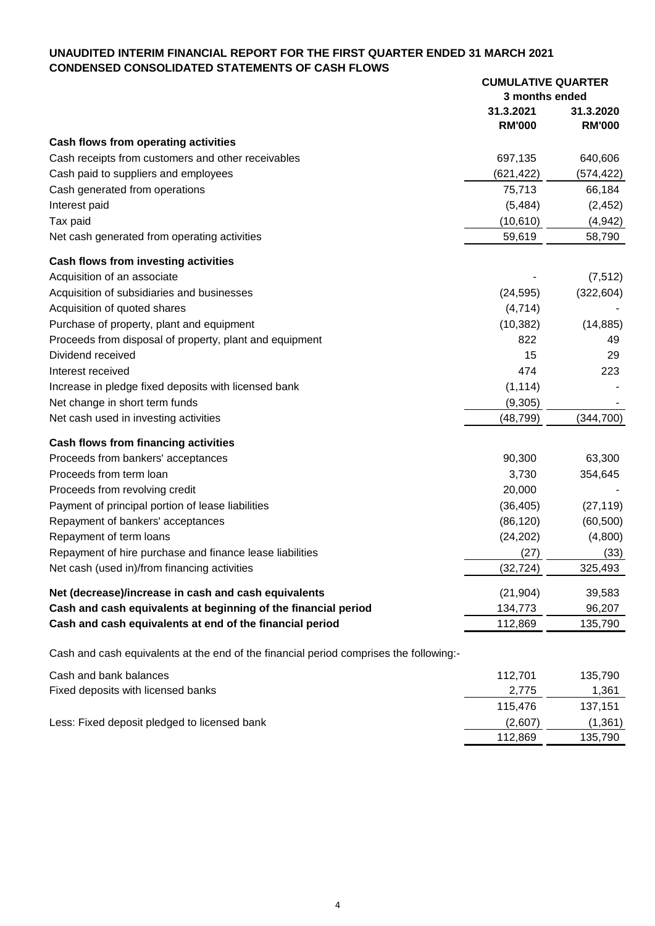# **UNAUDITED INTERIM FINANCIAL REPORT FOR THE FIRST QUARTER ENDED 31 MARCH 2021 CONDENSED CONSOLIDATED STATEMENTS OF CASH FLOWS**

|                                                                                        | <b>CUMULATIVE QUARTER</b> |               |
|----------------------------------------------------------------------------------------|---------------------------|---------------|
|                                                                                        | 3 months ended            |               |
|                                                                                        | 31.3.2021                 | 31.3.2020     |
|                                                                                        | <b>RM'000</b>             | <b>RM'000</b> |
| Cash flows from operating activities                                                   |                           |               |
| Cash receipts from customers and other receivables                                     | 697,135                   | 640,606       |
| Cash paid to suppliers and employees                                                   | (621, 422)                | (574, 422)    |
| Cash generated from operations                                                         | 75,713                    | 66,184        |
| Interest paid                                                                          | (5,484)                   | (2, 452)      |
| Tax paid                                                                               | (10, 610)                 | (4,942)       |
| Net cash generated from operating activities                                           | 59,619                    | 58,790        |
| Cash flows from investing activities                                                   |                           |               |
| Acquisition of an associate                                                            |                           | (7, 512)      |
| Acquisition of subsidiaries and businesses                                             | (24, 595)                 | (322, 604)    |
| Acquisition of quoted shares                                                           | (4,714)                   |               |
| Purchase of property, plant and equipment                                              | (10, 382)                 | (14, 885)     |
| Proceeds from disposal of property, plant and equipment                                | 822                       | 49            |
| Dividend received                                                                      | 15                        | 29            |
| Interest received                                                                      | 474                       | 223           |
| Increase in pledge fixed deposits with licensed bank                                   | (1, 114)                  |               |
| Net change in short term funds                                                         | (9,305)                   |               |
| Net cash used in investing activities                                                  | (48,799)                  | (344, 700)    |
| Cash flows from financing activities                                                   |                           |               |
| Proceeds from bankers' acceptances                                                     | 90,300                    | 63,300        |
| Proceeds from term loan                                                                | 3,730                     | 354,645       |
| Proceeds from revolving credit                                                         | 20,000                    |               |
| Payment of principal portion of lease liabilities                                      | (36, 405)                 | (27, 119)     |
| Repayment of bankers' acceptances                                                      | (86, 120)                 | (60, 500)     |
| Repayment of term loans                                                                | (24, 202)                 | (4,800)       |
| Repayment of hire purchase and finance lease liabilities                               | (27)                      | (33)          |
| Net cash (used in)/from financing activities                                           | (32, 724)                 | 325,493       |
| Net (decrease)/increase in cash and cash equivalents                                   | (21, 904)                 | 39,583        |
| Cash and cash equivalents at beginning of the financial period                         | 134,773                   | 96,207        |
| Cash and cash equivalents at end of the financial period                               | 112,869                   | 135,790       |
| Cash and cash equivalents at the end of the financial period comprises the following:- |                           |               |
| Cash and bank balances                                                                 | 112,701                   | 135,790       |
| Fixed deposits with licensed banks                                                     | 2,775                     | 1,361         |
|                                                                                        | 115,476                   | 137,151       |

Less: Fixed deposit pledged to licensed bank (2,607) (1,361)

112,869 135,790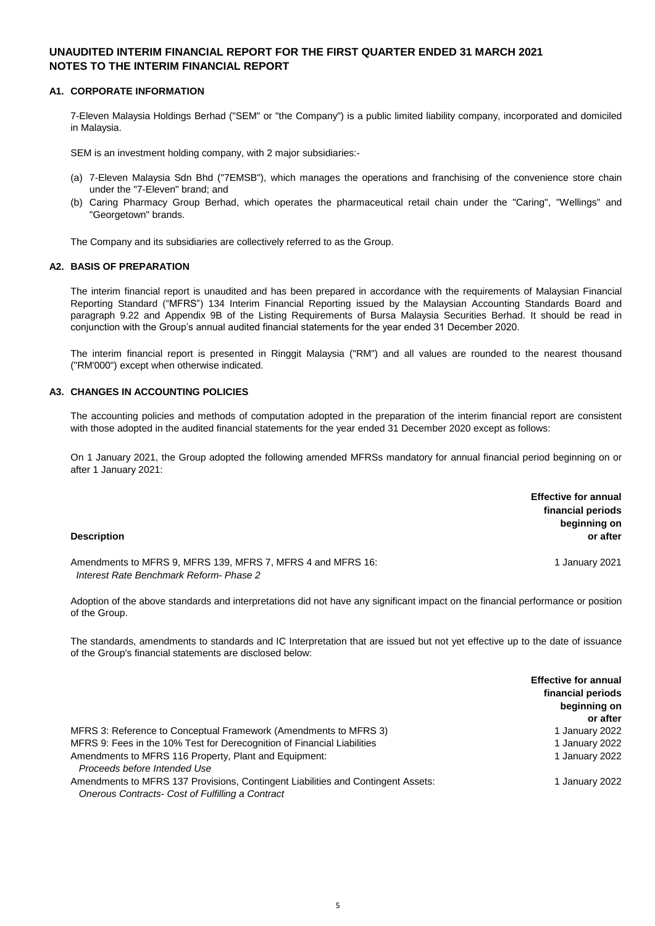### **A1. CORPORATE INFORMATION**

7-Eleven Malaysia Holdings Berhad ("SEM" or "the Company") is a public limited liability company, incorporated and domiciled in Malaysia.

SEM is an investment holding company, with 2 major subsidiaries:-

- (a) 7-Eleven Malaysia Sdn Bhd ("7EMSB"), which manages the operations and franchising of the convenience store chain under the "7-Eleven" brand; and
- (b) Caring Pharmacy Group Berhad, which operates the pharmaceutical retail chain under the "Caring", "Wellings" and "Georgetown" brands.

The Company and its subsidiaries are collectively referred to as the Group.

#### **A2. BASIS OF PREPARATION**

The interim financial report is unaudited and has been prepared in accordance with the requirements of Malaysian Financial Reporting Standard ("MFRS") 134 Interim Financial Reporting issued by the Malaysian Accounting Standards Board and paragraph 9.22 and Appendix 9B of the Listing Requirements of Bursa Malaysia Securities Berhad. It should be read in conjunction with the Group's annual audited financial statements for the year ended 31 December 2020.

The interim financial report is presented in Ringgit Malaysia ("RM") and all values are rounded to the nearest thousand ("RM'000") except when otherwise indicated.

### **A3. CHANGES IN ACCOUNTING POLICIES**

The accounting policies and methods of computation adopted in the preparation of the interim financial report are consistent with those adopted in the audited financial statements for the year ended 31 December 2020 except as follows:

On 1 January 2021, the Group adopted the following amended MFRSs mandatory for annual financial period beginning on or after 1 January 2021:

| <b>Description</b>                                                                                     | <b>Effective for annual</b><br>financial periods<br>beginning on<br>or after |
|--------------------------------------------------------------------------------------------------------|------------------------------------------------------------------------------|
| Amendments to MFRS 9, MFRS 139, MFRS 7, MFRS 4 and MFRS 16:<br>Interest Rate Benchmark Reform- Phase 2 | 1 January 2021                                                               |

Adoption of the above standards and interpretations did not have any significant impact on the financial performance or position of the Group.

The standards, amendments to standards and IC Interpretation that are issued but not yet effective up to the date of issuance of the Group's financial statements are disclosed below:

|                                                                                  | <b>Effective for annual</b> |
|----------------------------------------------------------------------------------|-----------------------------|
|                                                                                  | financial periods           |
|                                                                                  | beginning on                |
|                                                                                  | or after                    |
| MFRS 3: Reference to Conceptual Framework (Amendments to MFRS 3)                 | 1 January 2022              |
| MFRS 9: Fees in the 10% Test for Derecognition of Financial Liabilities          | 1 January 2022              |
| Amendments to MFRS 116 Property, Plant and Equipment:                            | 1 January 2022              |
| Proceeds before Intended Use                                                     |                             |
| Amendments to MFRS 137 Provisions, Contingent Liabilities and Contingent Assets: | 1 January 2022              |
| Onerous Contracts- Cost of Fulfilling a Contract                                 |                             |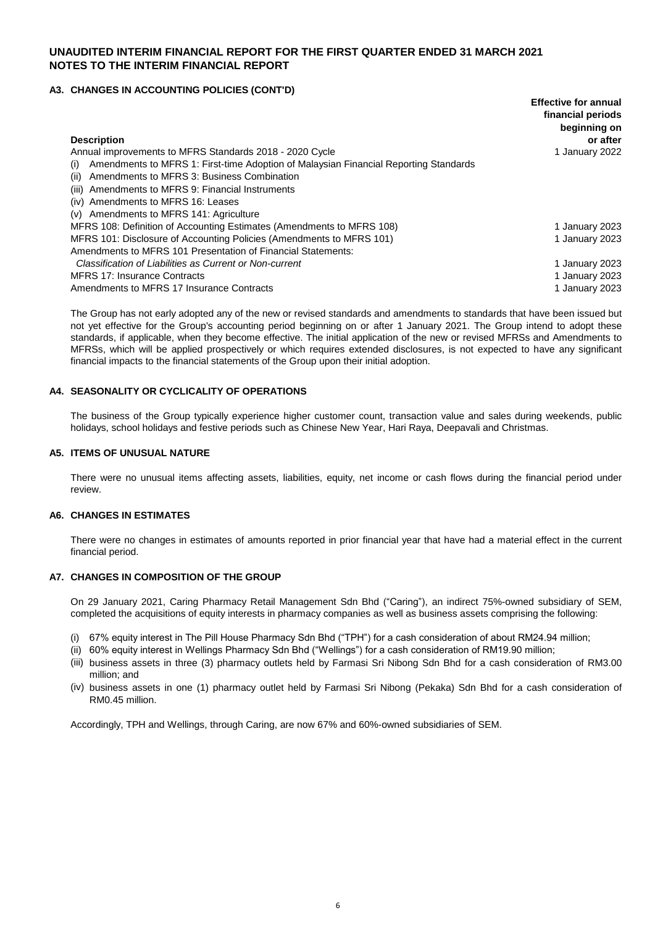### **A3. CHANGES IN ACCOUNTING POLICIES (CONT'D)**

|                                                                                             | <b>Effective for annual</b><br>financial periods |
|---------------------------------------------------------------------------------------------|--------------------------------------------------|
|                                                                                             | beginning on                                     |
| <b>Description</b>                                                                          | or after                                         |
| Annual improvements to MFRS Standards 2018 - 2020 Cycle                                     | 1 January 2022                                   |
| Amendments to MFRS 1: First-time Adoption of Malaysian Financial Reporting Standards<br>(i) |                                                  |
| Amendments to MFRS 3: Business Combination<br>(ii)                                          |                                                  |
| Amendments to MFRS 9: Financial Instruments<br>(iii)                                        |                                                  |
| (iv) Amendments to MFRS 16: Leases                                                          |                                                  |
| Amendments to MFRS 141: Agriculture<br>(v)                                                  |                                                  |
| MFRS 108: Definition of Accounting Estimates (Amendments to MFRS 108)                       | 1 January 2023                                   |
| MFRS 101: Disclosure of Accounting Policies (Amendments to MFRS 101)                        | 1 January 2023                                   |
| Amendments to MFRS 101 Presentation of Financial Statements:                                |                                                  |
| Classification of Liabilities as Current or Non-current                                     | 1 January 2023                                   |
| <b>MFRS 17: Insurance Contracts</b>                                                         | 1 January 2023                                   |
| Amendments to MFRS 17 Insurance Contracts                                                   | 1 January 2023                                   |

The Group has not early adopted any of the new or revised standards and amendments to standards that have been issued but not yet effective for the Group's accounting period beginning on or after 1 January 2021. The Group intend to adopt these standards, if applicable, when they become effective. The initial application of the new or revised MFRSs and Amendments to MFRSs, which will be applied prospectively or which requires extended disclosures, is not expected to have any significant financial impacts to the financial statements of the Group upon their initial adoption.

### **A4. SEASONALITY OR CYCLICALITY OF OPERATIONS**

The business of the Group typically experience higher customer count, transaction value and sales during weekends, public holidays, school holidays and festive periods such as Chinese New Year, Hari Raya, Deepavali and Christmas.

#### **A5. ITEMS OF UNUSUAL NATURE**

There were no unusual items affecting assets, liabilities, equity, net income or cash flows during the financial period under review.

#### **A6. CHANGES IN ESTIMATES**

There were no changes in estimates of amounts reported in prior financial year that have had a material effect in the current financial period.

#### **A7. CHANGES IN COMPOSITION OF THE GROUP**

On 29 January 2021, Caring Pharmacy Retail Management Sdn Bhd ("Caring"), an indirect 75%-owned subsidiary of SEM, completed the acquisitions of equity interests in pharmacy companies as well as business assets comprising the following:

- (i) 67% equity interest in The Pill House Pharmacy Sdn Bhd ("TPH") for a cash consideration of about RM24.94 million;
- (ii) 60% equity interest in Wellings Pharmacy Sdn Bhd ("Wellings") for a cash consideration of RM19.90 million;
- (iii) business assets in three (3) pharmacy outlets held by Farmasi Sri Nibong Sdn Bhd for a cash consideration of RM3.00 million; and
- (iv) business assets in one (1) pharmacy outlet held by Farmasi Sri Nibong (Pekaka) Sdn Bhd for a cash consideration of RM0.45 million.

Accordingly, TPH and Wellings, through Caring, are now 67% and 60%-owned subsidiaries of SEM.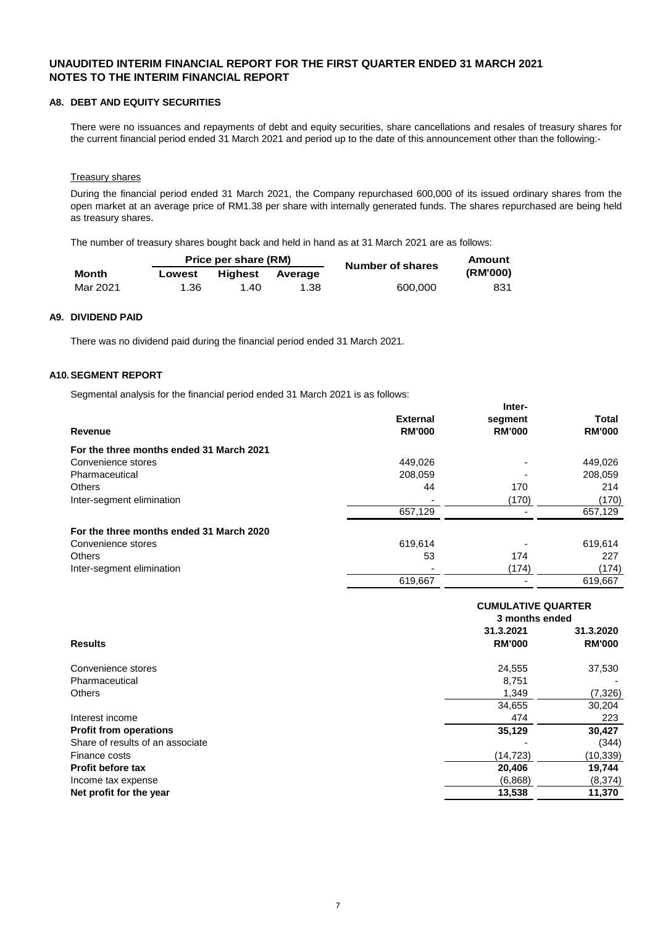#### **A8. DEBT AND EQUITY SECURITIES**

There were no issuances and repayments of debt and equity securities, share cancellations and resales of treasury shares for the current financial period ended 31 March 2021 and period up to the date of this announcement other than the following:-

#### Treasury shares

During the financial period ended 31 March 2021, the Company repurchased 600,000 of its issued ordinary shares from the open market at an average price of RM1.38 per share with internally generated funds. The shares repurchased are being held as treasury shares.

The number of treasury shares bought back and held in hand as at 31 March 2021 are as follows:

| Price per share (RM) |        |         |         | Number of shares |          |
|----------------------|--------|---------|---------|------------------|----------|
| Month                | Lowest | Hiahest | Average |                  | (RM'000) |
| Mar 2021             | 1.36   | 1.40    | 1.38    | 600.000          | 831      |

#### **A9. DIVIDEND PAID**

There was no dividend paid during the financial period ended 31 March 2021.

#### **A10.SEGMENT REPORT**

Segmental analysis for the financial period ended 31 March 2021 is as follows:

|                                          |                 | Inter-        |               |
|------------------------------------------|-----------------|---------------|---------------|
|                                          | <b>External</b> | segment       | Total         |
| Revenue                                  | <b>RM'000</b>   | <b>RM'000</b> | <b>RM'000</b> |
| For the three months ended 31 March 2021 |                 |               |               |
| Convenience stores                       | 449,026         |               | 449,026       |
| Pharmaceutical                           | 208,059         |               | 208,059       |
| <b>Others</b>                            | 44              | 170           | 214           |
| Inter-segment elimination                |                 | (170)         | (170)         |
|                                          | 657,129         |               | 657,129       |
| For the three months ended 31 March 2020 |                 |               |               |
| Convenience stores                       | 619,614         |               | 619,614       |
| <b>Others</b>                            | 53              | 174           | 227           |
| Inter-segment elimination                |                 | (174)         | (174)         |
|                                          | 619,667         |               | 619,667       |

|                                  |                          | <b>CUMULATIVE QUARTER</b> |  |  |  |
|----------------------------------|--------------------------|---------------------------|--|--|--|
|                                  |                          | 3 months ended            |  |  |  |
|                                  | 31.3.2021                | 31.3.2020                 |  |  |  |
| <b>Results</b>                   | <b>RM'000</b>            | <b>RM'000</b>             |  |  |  |
| Convenience stores               | 24,555                   | 37,530                    |  |  |  |
| Pharmaceutical                   | 8.751                    |                           |  |  |  |
| <b>Others</b>                    | 1,349                    | (7, 326)                  |  |  |  |
|                                  | 34,655                   | 30,204                    |  |  |  |
| Interest income                  | 474                      | 223                       |  |  |  |
| <b>Profit from operations</b>    | 35,129                   | 30,427                    |  |  |  |
| Share of results of an associate | $\overline{\phantom{a}}$ | (344)                     |  |  |  |
| Finance costs                    | (14, 723)                | (10,339)                  |  |  |  |
| <b>Profit before tax</b>         | 20,406                   | 19,744                    |  |  |  |
| Income tax expense               | (6,868)                  | (8, 374)                  |  |  |  |
| Net profit for the year          | 13,538                   | 11,370                    |  |  |  |
|                                  |                          |                           |  |  |  |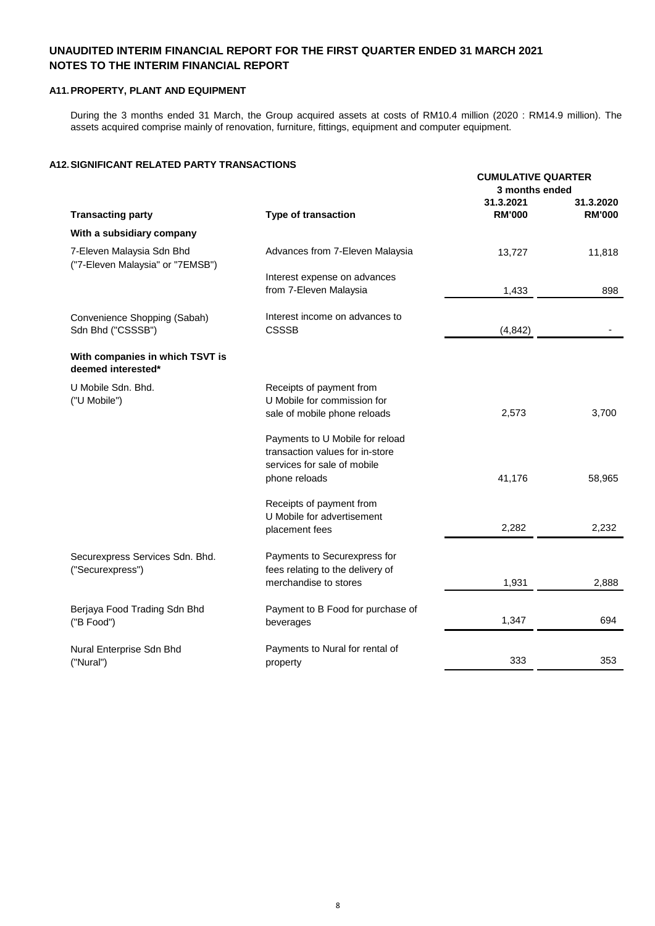### **A11.PROPERTY, PLANT AND EQUIPMENT**

During the 3 months ended 31 March, the Group acquired assets at costs of RM10.4 million (2020 : RM14.9 million). The assets acquired comprise mainly of renovation, furniture, fittings, equipment and computer equipment.

### **A12.SIGNIFICANT RELATED PARTY TRANSACTIONS**

|                                                               |                                   | <b>CUMULATIVE QUARTER</b><br>3 months ended |                            |
|---------------------------------------------------------------|-----------------------------------|---------------------------------------------|----------------------------|
| <b>Transacting party</b>                                      | Type of transaction               | 31.3.2021<br><b>RM'000</b>                  | 31.3.2020<br><b>RM'000</b> |
| With a subsidiary company                                     |                                   |                                             |                            |
| 7-Eleven Malaysia Sdn Bhd<br>("7-Eleven Malaysia" or "7EMSB") | Advances from 7-Eleven Malaysia   | 13,727                                      | 11,818                     |
|                                                               | Interest expense on advances      |                                             |                            |
|                                                               | from 7-Eleven Malaysia            | 1,433                                       | 898                        |
| Convenience Shopping (Sabah)                                  | Interest income on advances to    |                                             |                            |
| Sdn Bhd ("CSSSB")                                             | <b>CSSSB</b>                      | (4, 842)                                    |                            |
| With companies in which TSVT is<br>deemed interested*         |                                   |                                             |                            |
| U Mobile Sdn. Bhd.                                            | Receipts of payment from          |                                             |                            |
| ("U Mobile")                                                  | U Mobile for commission for       |                                             |                            |
|                                                               | sale of mobile phone reloads      | 2,573                                       | 3,700                      |
|                                                               | Payments to U Mobile for reload   |                                             |                            |
|                                                               | transaction values for in-store   |                                             |                            |
|                                                               | services for sale of mobile       |                                             |                            |
|                                                               | phone reloads                     | 41,176                                      | 58,965                     |
|                                                               | Receipts of payment from          |                                             |                            |
|                                                               | U Mobile for advertisement        |                                             |                            |
|                                                               | placement fees                    | 2,282                                       | 2,232                      |
| Securexpress Services Sdn. Bhd.                               | Payments to Securexpress for      |                                             |                            |
| ("Securexpress")                                              | fees relating to the delivery of  |                                             |                            |
|                                                               | merchandise to stores             | 1,931                                       | 2,888                      |
| Berjaya Food Trading Sdn Bhd                                  | Payment to B Food for purchase of |                                             |                            |
| ("B Food")                                                    | beverages                         | 1,347                                       | 694                        |
| Nural Enterprise Sdn Bhd                                      | Payments to Nural for rental of   |                                             |                            |
| ("Nural")                                                     | property                          | 333                                         | 353                        |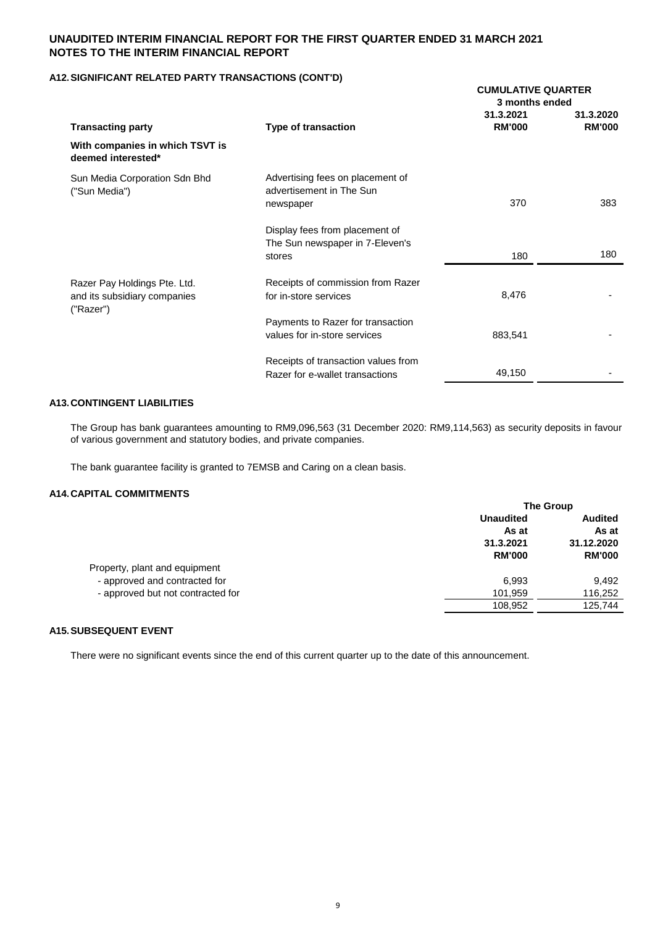### **A12.SIGNIFICANT RELATED PARTY TRANSACTIONS (CONT'D)**

| <b>Transacting party</b>                              |                                                                           | <b>CUMULATIVE QUARTER</b><br>3 months ended |                            |
|-------------------------------------------------------|---------------------------------------------------------------------------|---------------------------------------------|----------------------------|
|                                                       | Type of transaction                                                       | 31.3.2021<br><b>RM'000</b>                  | 31.3.2020<br><b>RM'000</b> |
| With companies in which TSVT is<br>deemed interested* |                                                                           |                                             |                            |
| Sun Media Corporation Sdn Bhd<br>("Sun Media")        | Advertising fees on placement of<br>advertisement in The Sun<br>newspaper | 370                                         | 383                        |
|                                                       |                                                                           |                                             |                            |
|                                                       | Display fees from placement of<br>The Sun newspaper in 7-Eleven's         |                                             |                            |
|                                                       | stores                                                                    | 180                                         | 180                        |
| Razer Pay Holdings Pte. Ltd.                          | Receipts of commission from Razer                                         |                                             |                            |
| and its subsidiary companies<br>("Razer")             | for in-store services                                                     | 8,476                                       |                            |
|                                                       | Payments to Razer for transaction                                         |                                             |                            |
|                                                       | values for in-store services                                              | 883,541                                     |                            |
|                                                       | Receipts of transaction values from                                       |                                             |                            |
|                                                       | Razer for e-wallet transactions                                           | 49,150                                      |                            |

### **A13.CONTINGENT LIABILITIES**

The Group has bank guarantees amounting to RM9,096,563 (31 December 2020: RM9,114,563) as security deposits in favour of various government and statutory bodies, and private companies.

The bank guarantee facility is granted to 7EMSB and Caring on a clean basis.

### **A14.CAPITAL COMMITMENTS**

|                                   | <b>The Group</b>           |                             |
|-----------------------------------|----------------------------|-----------------------------|
|                                   | <b>Unaudited</b>           | <b>Audited</b>              |
|                                   | As at                      | As at                       |
|                                   | 31.3.2021<br><b>RM'000</b> | 31.12.2020<br><b>RM'000</b> |
|                                   |                            |                             |
| Property, plant and equipment     |                            |                             |
| - approved and contracted for     | 6.993                      | 9.492                       |
| - approved but not contracted for | 101,959                    | 116,252                     |
|                                   | 108,952                    | 125,744                     |

### **A15.SUBSEQUENT EVENT**

There were no significant events since the end of this current quarter up to the date of this announcement.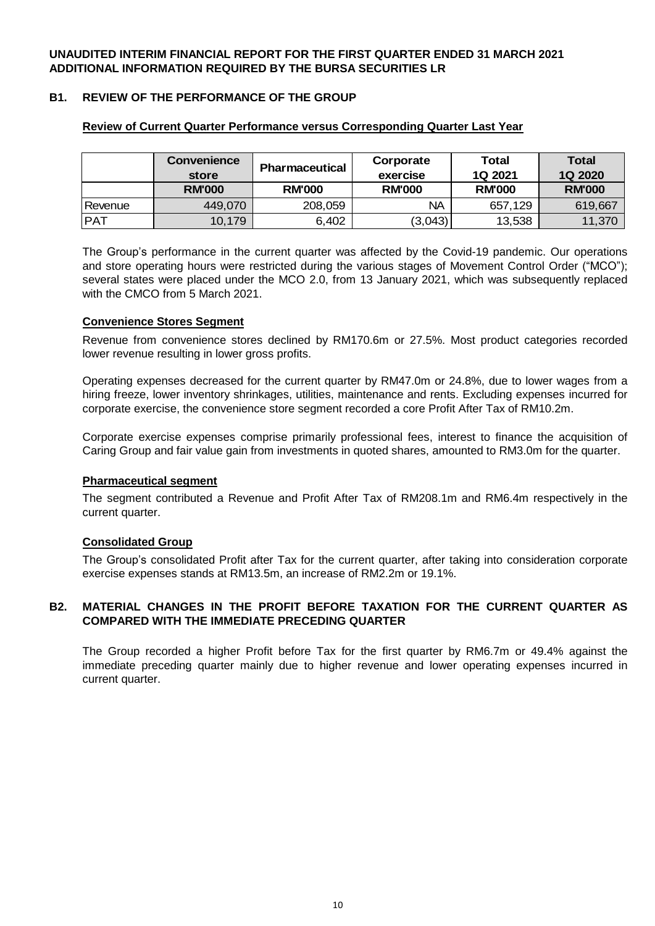# **B1. REVIEW OF THE PERFORMANCE OF THE GROUP**

|            | <b>Convenience</b> |                       | Corporate     | Total         | <b>Total</b>  |
|------------|--------------------|-----------------------|---------------|---------------|---------------|
|            | store              | <b>Pharmaceutical</b> | exercise      | 1Q 2021       | 1Q 2020       |
|            | <b>RM'000</b>      | <b>RM'000</b>         | <b>RM'000</b> | <b>RM'000</b> | <b>RM'000</b> |
| Revenue    | 449.070            | 208,059               | ΝA            | 657.129       | 619,667       |
| <b>PAT</b> | 10,179             | 6,402                 | (3,043)       | 13,538        | 11,370        |

### **Review of Current Quarter Performance versus Corresponding Quarter Last Year**

The Group's performance in the current quarter was affected by the Covid-19 pandemic. Our operations and store operating hours were restricted during the various stages of Movement Control Order ("MCO"); several states were placed under the MCO 2.0, from 13 January 2021, which was subsequently replaced with the CMCO from 5 March 2021.

# **Convenience Stores Segment**

Revenue from convenience stores declined by RM170.6m or 27.5%. Most product categories recorded lower revenue resulting in lower gross profits.

Operating expenses decreased for the current quarter by RM47.0m or 24.8%, due to lower wages from a hiring freeze, lower inventory shrinkages, utilities, maintenance and rents. Excluding expenses incurred for corporate exercise, the convenience store segment recorded a core Profit After Tax of RM10.2m.

Corporate exercise expenses comprise primarily professional fees, interest to finance the acquisition of Caring Group and fair value gain from investments in quoted shares, amounted to RM3.0m for the quarter.

### **Pharmaceutical segment**

The segment contributed a Revenue and Profit After Tax of RM208.1m and RM6.4m respectively in the current quarter.

### **Consolidated Group**

The Group's consolidated Profit after Tax for the current quarter, after taking into consideration corporate exercise expenses stands at RM13.5m, an increase of RM2.2m or 19.1%.

#### **B2. MATERIAL CHANGES IN THE PROFIT BEFORE TAXATION FOR THE CURRENT QUARTER AS COMPARED WITH THE IMMEDIATE PRECEDING QUARTER**

The Group recorded a higher Profit before Tax for the first quarter by RM6.7m or 49.4% against the immediate preceding quarter mainly due to higher revenue and lower operating expenses incurred in current quarter.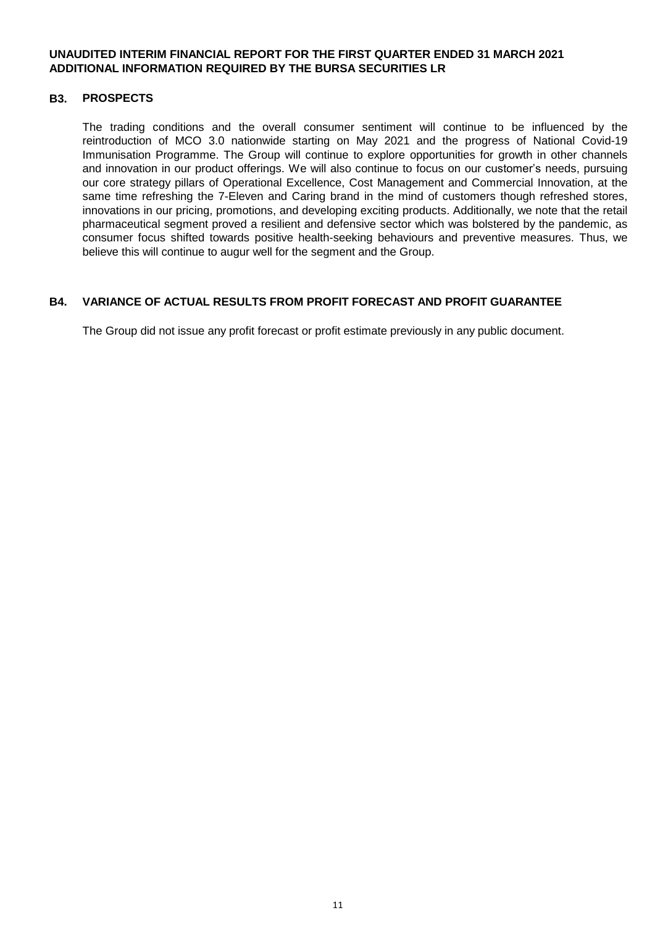### **B3. PROSPECTS**

The trading conditions and the overall consumer sentiment will continue to be influenced by the reintroduction of MCO 3.0 nationwide starting on May 2021 and the progress of National Covid-19 Immunisation Programme. The Group will continue to explore opportunities for growth in other channels and innovation in our product offerings. We will also continue to focus on our customer's needs, pursuing our core strategy pillars of Operational Excellence, Cost Management and Commercial Innovation, at the same time refreshing the 7-Eleven and Caring brand in the mind of customers though refreshed stores, innovations in our pricing, promotions, and developing exciting products. Additionally, we note that the retail pharmaceutical segment proved a resilient and defensive sector which was bolstered by the pandemic, as consumer focus shifted towards positive health-seeking behaviours and preventive measures. Thus, we believe this will continue to augur well for the segment and the Group.

# **B4. VARIANCE OF ACTUAL RESULTS FROM PROFIT FORECAST AND PROFIT GUARANTEE**

The Group did not issue any profit forecast or profit estimate previously in any public document.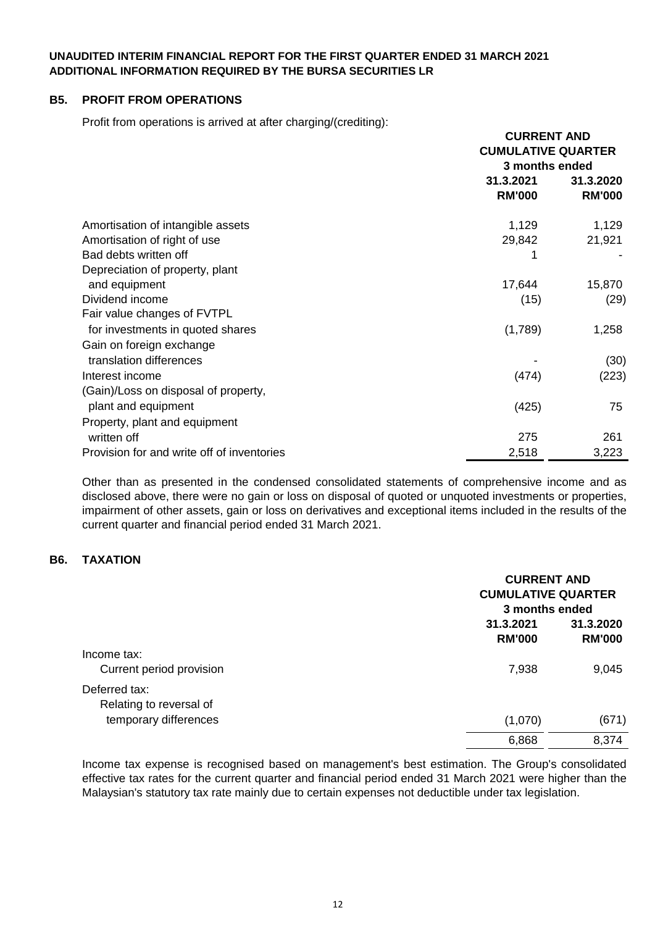## **B5. PROFIT FROM OPERATIONS**

Profit from operations is arrived at after charging/(crediting):

|                                            | <b>CURRENT AND</b><br><b>CUMULATIVE QUARTER</b><br>3 months ended |                            |
|--------------------------------------------|-------------------------------------------------------------------|----------------------------|
|                                            | 31.3.2021<br><b>RM'000</b>                                        | 31.3.2020<br><b>RM'000</b> |
|                                            |                                                                   |                            |
| Amortisation of intangible assets          | 1,129                                                             | 1,129                      |
| Amortisation of right of use               | 29,842                                                            | 21,921                     |
| Bad debts written off                      |                                                                   |                            |
| Depreciation of property, plant            |                                                                   |                            |
| and equipment                              | 17,644                                                            | 15,870                     |
| Dividend income                            | (15)                                                              | (29)                       |
| Fair value changes of FVTPL                |                                                                   |                            |
| for investments in quoted shares           | (1,789)                                                           | 1,258                      |
| Gain on foreign exchange                   |                                                                   |                            |
| translation differences                    |                                                                   | (30)                       |
| Interest income                            | (474)                                                             | (223)                      |
| (Gain)/Loss on disposal of property,       |                                                                   |                            |
| plant and equipment                        | (425)                                                             | 75                         |
| Property, plant and equipment              |                                                                   |                            |
| written off                                | 275                                                               | 261                        |
| Provision for and write off of inventories | 2,518                                                             | 3,223                      |

Other than as presented in the condensed consolidated statements of comprehensive income and as disclosed above, there were no gain or loss on disposal of quoted or unquoted investments or properties, impairment of other assets, gain or loss on derivatives and exceptional items included in the results of the current quarter and financial period ended 31 March 2021.

# **B6. TAXATION**

|                                          | <b>CURRENT AND</b><br><b>CUMULATIVE QUARTER</b><br>3 months ended |                            |
|------------------------------------------|-------------------------------------------------------------------|----------------------------|
|                                          | 31.3.2021<br><b>RM'000</b>                                        | 31.3.2020<br><b>RM'000</b> |
| Income tax:<br>Current period provision  | 7,938                                                             | 9,045                      |
| Deferred tax:<br>Relating to reversal of |                                                                   |                            |
| temporary differences                    | (1,070)                                                           | (671)                      |
|                                          | 6,868                                                             | 8,374                      |

Income tax expense is recognised based on management's best estimation. The Group's consolidated effective tax rates for the current quarter and financial period ended 31 March 2021 were higher than the Malaysian's statutory tax rate mainly due to certain expenses not deductible under tax legislation.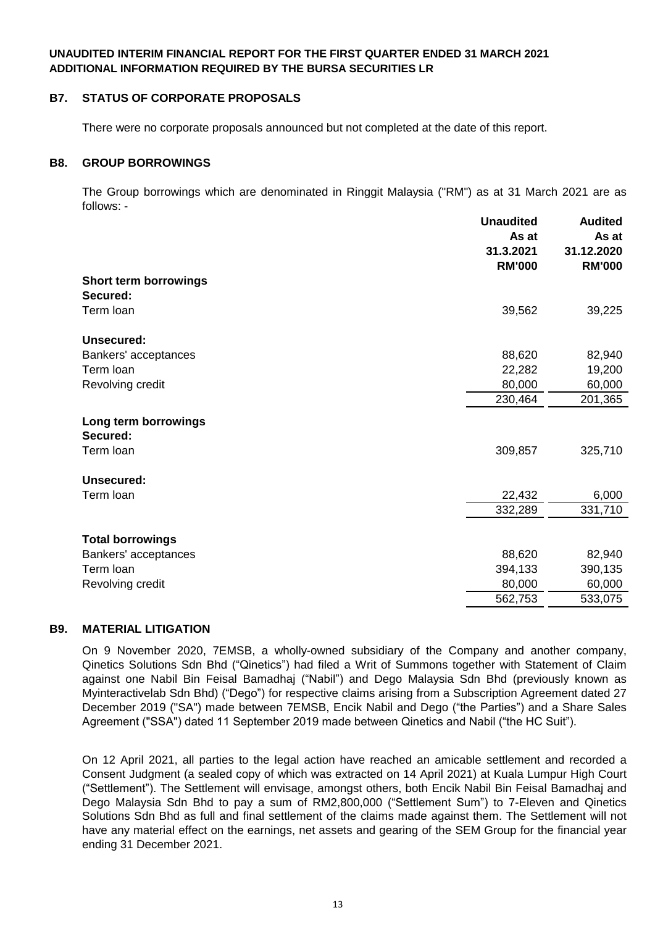## **B7. STATUS OF CORPORATE PROPOSALS**

There were no corporate proposals announced but not completed at the date of this report.

### **B8. GROUP BORROWINGS**

The Group borrowings which are denominated in Ringgit Malaysia ("RM") as at 31 March 2021 are as follows: -

|                                   | <b>Unaudited</b><br>As at  | <b>Audited</b><br>As at     |
|-----------------------------------|----------------------------|-----------------------------|
|                                   | 31.3.2021<br><b>RM'000</b> | 31.12.2020<br><b>RM'000</b> |
| Short term borrowings<br>Secured: |                            |                             |
| Term loan                         | 39,562                     | 39,225                      |
| Unsecured:                        |                            |                             |
| Bankers' acceptances              | 88,620                     | 82,940                      |
| Term loan                         | 22,282                     | 19,200                      |
| Revolving credit                  | 80,000                     | 60,000                      |
|                                   | 230,464                    | 201,365                     |
| Long term borrowings<br>Secured:  |                            |                             |
| Term loan                         | 309,857                    | 325,710                     |
| Unsecured:                        |                            |                             |
| Term loan                         | 22,432                     | 6,000                       |
|                                   | 332,289                    | 331,710                     |
| <b>Total borrowings</b>           |                            |                             |
| Bankers' acceptances              | 88,620                     | 82,940                      |
| Term loan                         | 394,133                    | 390,135                     |
| Revolving credit                  | 80,000                     | 60,000                      |
|                                   | 562,753                    | 533,075                     |

### **B9. MATERIAL LITIGATION**

On 9 November 2020, 7EMSB, a wholly-owned subsidiary of the Company and another company, Qinetics Solutions Sdn Bhd ("Qinetics") had filed a Writ of Summons together with Statement of Claim against one Nabil Bin Feisal Bamadhaj ("Nabil") and Dego Malaysia Sdn Bhd (previously known as Myinteractivelab Sdn Bhd) ("Dego") for respective claims arising from a Subscription Agreement dated 27 December 2019 ("SA") made between 7EMSB, Encik Nabil and Dego ("the Parties") and a Share Sales Agreement ("SSA") dated 11 September 2019 made between Qinetics and Nabil ("the HC Suit").

On 12 April 2021, all parties to the legal action have reached an amicable settlement and recorded a Consent Judgment (a sealed copy of which was extracted on 14 April 2021) at Kuala Lumpur High Court ("Settlement"). The Settlement will envisage, amongst others, both Encik Nabil Bin Feisal Bamadhaj and Dego Malaysia Sdn Bhd to pay a sum of RM2,800,000 ("Settlement Sum") to 7-Eleven and Qinetics Solutions Sdn Bhd as full and final settlement of the claims made against them. The Settlement will not have any material effect on the earnings, net assets and gearing of the SEM Group for the financial year ending 31 December 2021.